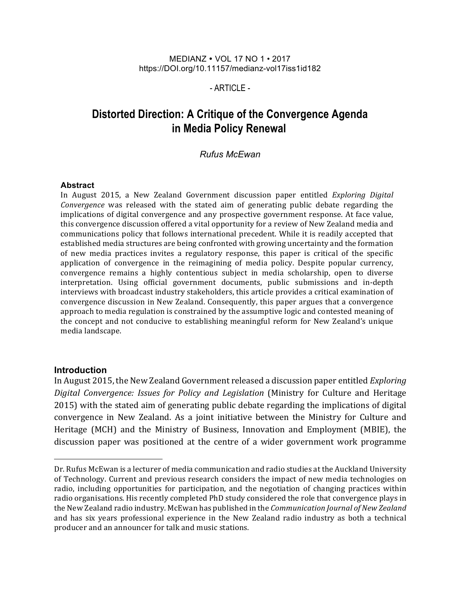#### MEDIANZ • VOL 17 NO 1 • 2017 https://DOI.org/10.11157/medianz-vol17iss1id182

## $-$  ARTICLE $-$

# **Distorted Direction: A Critique of the Convergence Agenda in Media Policy Renewal**

## *Rufus McEwan*

#### **Abstract**

In August 2015, a New Zealand Government discussion paper entitled *Exploring Digital Convergence* was released with the stated aim of generating public debate regarding the implications of digital convergence and any prospective government response. At face value, this convergence discussion offered a vital opportunity for a review of New Zealand media and communications policy that follows international precedent. While it is readily accepted that established media structures are being confronted with growing uncertainty and the formation of new media practices invites a regulatory response, this paper is critical of the specific application of convergence in the reimagining of media policy. Despite popular currency, convergence remains a highly contentious subject in media scholarship, open to diverse interpretation. Using official government documents, public submissions and in-depth interviews with broadcast industry stakeholders, this article provides a critical examination of convergence discussion in New Zealand. Consequently, this paper argues that a convergence approach to media regulation is constrained by the assumptive logic and contested meaning of the concept and not conducive to establishing meaningful reform for New Zealand's unique media landscape.

#### **Introduction**

l

In August 2015, the New Zealand Government released a discussion paper entitled *Exploring Digital Convergence: Issues for Policy and Legislation* (Ministry for Culture and Heritage 2015) with the stated aim of generating public debate regarding the implications of digital convergence in New Zealand. As a joint initiative between the Ministry for Culture and Heritage (MCH) and the Ministry of Business, Innovation and Employment (MBIE), the discussion paper was positioned at the centre of a wider government work programme

Dr. Rufus McEwan is a lecturer of media communication and radio studies at the Auckland University of Technology. Current and previous research considers the impact of new media technologies on radio, including opportunities for participation, and the negotiation of changing practices within radio organisations. His recently completed PhD study considered the role that convergence plays in the New Zealand radio industry. McEwan has published in the *Communication Journal of New Zealand* and has six years professional experience in the New Zealand radio industry as both a technical producer and an announcer for talk and music stations.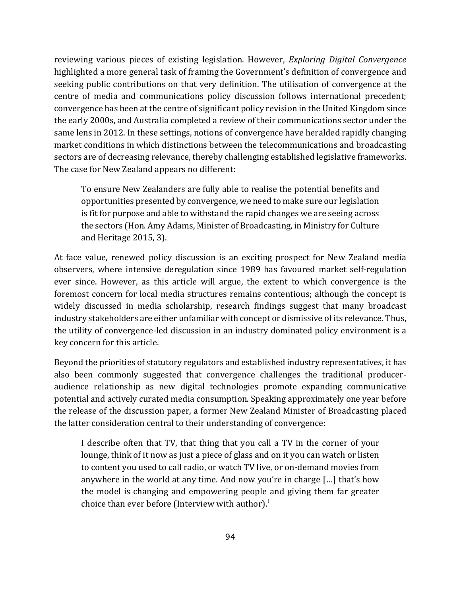reviewing various pieces of existing legislation. However, *Exploring Digital Convergence* highlighted a more general task of framing the Government's definition of convergence and seeking public contributions on that very definition. The utilisation of convergence at the centre of media and communications policy discussion follows international precedent; convergence has been at the centre of significant policy revision in the United Kingdom since the early 2000s, and Australia completed a review of their communications sector under the same lens in 2012. In these settings, notions of convergence have heralded rapidly changing market conditions in which distinctions between the telecommunications and broadcasting sectors are of decreasing relevance, thereby challenging established legislative frameworks. The case for New Zealand appears no different:

To ensure New Zealanders are fully able to realise the potential benefits and opportunities presented by convergence, we need to make sure our legislation is fit for purpose and able to withstand the rapid changes we are seeing across the sectors (Hon. Amy Adams, Minister of Broadcasting, in Ministry for Culture and Heritage 2015, 3).

At face value, renewed policy discussion is an exciting prospect for New Zealand media observers, where intensive deregulation since 1989 has favoured market self-regulation ever since. However, as this article will argue, the extent to which convergence is the foremost concern for local media structures remains contentious; although the concept is widely discussed in media scholarship, research findings suggest that many broadcast industry stakeholders are either unfamiliar with concept or dismissive of its relevance. Thus, the utility of convergence-led discussion in an industry dominated policy environment is a key concern for this article.

Beyond the priorities of statutory regulators and established industry representatives, it has also been commonly suggested that convergence challenges the traditional produceraudience relationship as new digital technologies promote expanding communicative potential and actively curated media consumption. Speaking approximately one year before the release of the discussion paper, a former New Zealand Minister of Broadcasting placed the latter consideration central to their understanding of convergence:

I describe often that TV, that thing that you call a TV in the corner of your lounge, think of it now as just a piece of glass and on it you can watch or listen to content you used to call radio, or watch TV live, or on-demand movies from anywhere in the world at any time. And now you're in charge  $\lceil ... \rceil$  that's how the model is changing and empowering people and giving them far greater choice than ever before (Interview with author). $^1$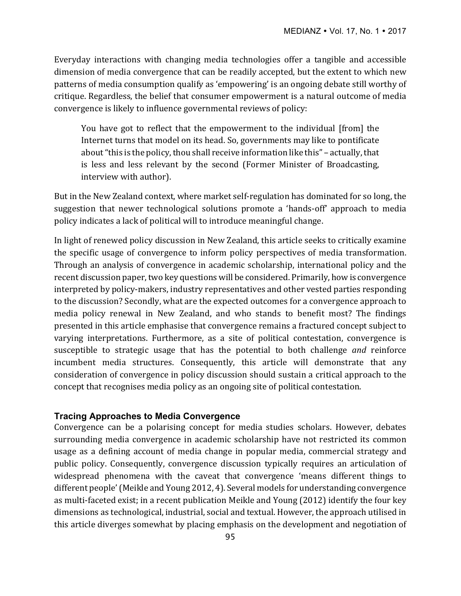Everyday interactions with changing media technologies offer a tangible and accessible dimension of media convergence that can be readily accepted, but the extent to which new patterns of media consumption qualify as 'empowering' is an ongoing debate still worthy of critique. Regardless, the belief that consumer empowerment is a natural outcome of media convergence is likely to influence governmental reviews of policy:

You have got to reflect that the empowerment to the individual [from] the Internet turns that model on its head. So, governments may like to pontificate about "this is the policy, thou shall receive information like this" – actually, that is less and less relevant by the second (Former Minister of Broadcasting, interview with author).

But in the New Zealand context, where market self-regulation has dominated for so long, the suggestion that newer technological solutions promote a 'hands-off' approach to media policy indicates a lack of political will to introduce meaningful change.

In light of renewed policy discussion in New Zealand, this article seeks to critically examine the specific usage of convergence to inform policy perspectives of media transformation. Through an analysis of convergence in academic scholarship, international policy and the recent discussion paper, two key questions will be considered. Primarily, how is convergence interpreted by policy-makers, industry representatives and other vested parties responding to the discussion? Secondly, what are the expected outcomes for a convergence approach to media policy renewal in New Zealand, and who stands to benefit most? The findings presented in this article emphasise that convergence remains a fractured concept subject to varying interpretations. Furthermore, as a site of political contestation, convergence is susceptible to strategic usage that has the potential to both challenge *and* reinforce incumbent media structures. Consequently, this article will demonstrate that any consideration of convergence in policy discussion should sustain a critical approach to the concept that recognises media policy as an ongoing site of political contestation.

## **Tracing Approaches to Media Convergence**

Convergence can be a polarising concept for media studies scholars. However, debates surrounding media convergence in academic scholarship have not restricted its common usage as a defining account of media change in popular media, commercial strategy and public policy. Consequently, convergence discussion typically requires an articulation of widespread phenomena with the caveat that convergence 'means different things to different people' (Meikle and Young 2012, 4). Several models for understanding convergence as multi-faceted exist; in a recent publication Meikle and Young (2012) identify the four key dimensions as technological, industrial, social and textual. However, the approach utilised in this article diverges somewhat by placing emphasis on the development and negotiation of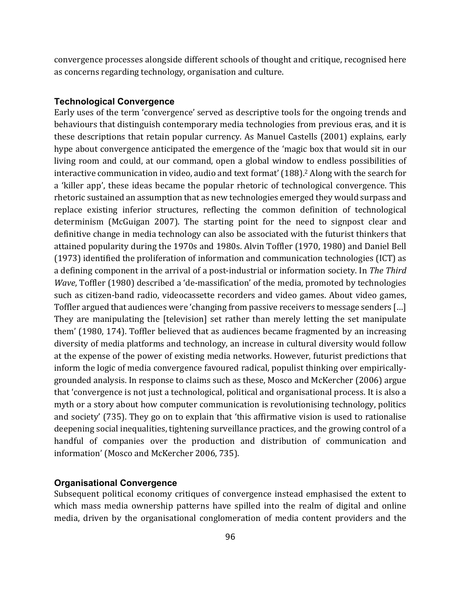convergence processes alongside different schools of thought and critique, recognised here as concerns regarding technology, organisation and culture.

#### **Technological Convergence**

Early uses of the term 'convergence' served as descriptive tools for the ongoing trends and behaviours that distinguish contemporary media technologies from previous eras, and it is these descriptions that retain popular currency. As Manuel Castells (2001) explains, early hype about convergence anticipated the emergence of the 'magic box that would sit in our living room and could, at our command, open a global window to endless possibilities of interactive communication in video, audio and text format'  $(188).<sup>2</sup>$  Along with the search for a 'killer app', these ideas became the popular rhetoric of technological convergence. This rhetoric sustained an assumption that as new technologies emerged they would surpass and replace existing inferior structures, reflecting the common definition of technological determinism (McGuigan 2007). The starting point for the need to signpost clear and definitive change in media technology can also be associated with the futurist thinkers that attained popularity during the 1970s and 1980s. Alvin Toffler (1970, 1980) and Daniel Bell (1973) identified the proliferation of information and communication technologies (ICT) as a defining component in the arrival of a post-industrial or information society. In *The Third Wave*, Toffler (1980) described a 'de-massification' of the media, promoted by technologies such as citizen-band radio, videocassette recorders and video games. About video games, Toffler argued that audiences were 'changing from passive receivers to message senders [...] They are manipulating the [television] set rather than merely letting the set manipulate them' (1980, 174). Toffler believed that as audiences became fragmented by an increasing diversity of media platforms and technology, an increase in cultural diversity would follow at the expense of the power of existing media networks. However, futurist predictions that inform the logic of media convergence favoured radical, populist thinking over empiricallygrounded analysis. In response to claims such as these, Mosco and McKercher (2006) argue that 'convergence is not just a technological, political and organisational process. It is also a myth or a story about how computer communication is revolutionising technology, politics and society' (735). They go on to explain that 'this affirmative vision is used to rationalise deepening social inequalities, tightening surveillance practices, and the growing control of a handful of companies over the production and distribution of communication and information' (Mosco and McKercher 2006, 735).

## **Organisational Convergence**

Subsequent political economy critiques of convergence instead emphasised the extent to which mass media ownership patterns have spilled into the realm of digital and online media, driven by the organisational conglomeration of media content providers and the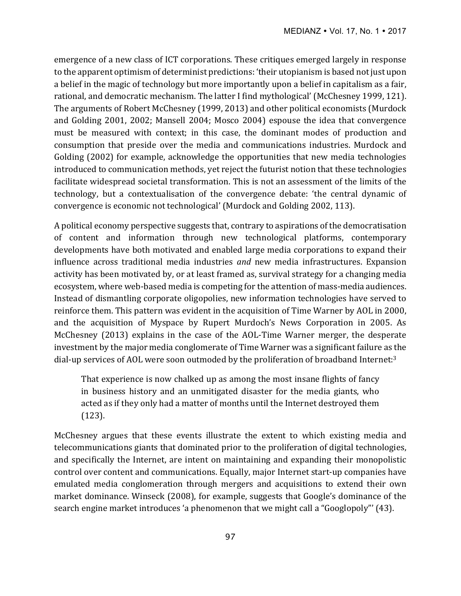emergence of a new class of ICT corporations. These critiques emerged largely in response to the apparent optimism of determinist predictions: 'their utopianism is based not just upon a belief in the magic of technology but more importantly upon a belief in capitalism as a fair, rational, and democratic mechanism. The latter I find mythological' (McChesney 1999, 121). The arguments of Robert McChesney (1999, 2013) and other political economists (Murdock and Golding 2001, 2002; Mansell 2004; Mosco 2004) espouse the idea that convergence must be measured with context; in this case, the dominant modes of production and consumption that preside over the media and communications industries. Murdock and Golding (2002) for example, acknowledge the opportunities that new media technologies introduced to communication methods, yet reject the futurist notion that these technologies facilitate widespread societal transformation. This is not an assessment of the limits of the technology, but a contextualisation of the convergence debate: 'the central dynamic of convergence is economic not technological' (Murdock and Golding 2002, 113).

A political economy perspective suggests that, contrary to aspirations of the democratisation of content and information through new technological platforms, contemporary developments have both motivated and enabled large media corporations to expand their influence across traditional media industries *and* new media infrastructures. Expansion activity has been motivated by, or at least framed as, survival strategy for a changing media ecosystem, where web-based media is competing for the attention of mass-media audiences. Instead of dismantling corporate oligopolies, new information technologies have served to reinforce them. This pattern was evident in the acquisition of Time Warner by AOL in 2000, and the acquisition of Myspace by Rupert Murdoch's News Corporation in 2005. As McChesney (2013) explains in the case of the AOL-Time Warner merger, the desperate investment by the major media conglomerate of Time Warner was a significant failure as the dial-up services of AOL were soon outmoded by the proliferation of broadband Internet:<sup>3</sup>

That experience is now chalked up as among the most insane flights of fancy in business history and an unmitigated disaster for the media giants, who acted as if they only had a matter of months until the Internet destroyed them (123).

McChesney argues that these events illustrate the extent to which existing media and telecommunications giants that dominated prior to the proliferation of digital technologies, and specifically the Internet, are intent on maintaining and expanding their monopolistic control over content and communications. Equally, major Internet start-up companies have emulated media conglomeration through mergers and acquisitions to extend their own market dominance. Winseck (2008), for example, suggests that Google's dominance of the search engine market introduces 'a phenomenon that we might call a "Googlopoly"' (43).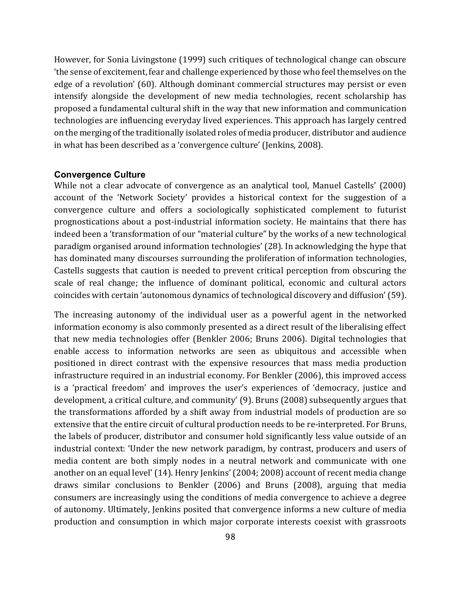However, for Sonia Livingstone (1999) such critiques of technological change can obscure the sense of excitement, fear and challenge experienced by those who feel themselves on the edge of a revolution' (60). Although dominant commercial structures may persist or even intensify alongside the development of new media technologies, recent scholarship has proposed a fundamental cultural shift in the way that new information and communication technologies are influencing everyday lived experiences. This approach has largely centred on the merging of the traditionally isolated roles of media producer, distributor and audience in what has been described as a 'convergence culture' (Jenkins, 2008).

#### **Convergence Culture**

While not a clear advocate of convergence as an analytical tool, Manuel Castells' (2000) account of the 'Network Society' provides a historical context for the suggestion of a convergence culture and offers a sociologically sophisticated complement to futurist prognostications about a post-industrial information society. He maintains that there has indeed been a 'transformation of our "material culture" by the works of a new technological paradigm organised around information technologies' (28). In acknowledging the hype that has dominated many discourses surrounding the proliferation of information technologies, Castells suggests that caution is needed to prevent critical perception from obscuring the scale of real change; the influence of dominant political, economic and cultural actors coincides with certain 'autonomous dynamics of technological discovery and diffusion' (59).

The increasing autonomy of the individual user as a powerful agent in the networked information economy is also commonly presented as a direct result of the liberalising effect that new media technologies offer (Benkler 2006; Bruns 2006). Digital technologies that enable access to information networks are seen as ubiquitous and accessible when positioned in direct contrast with the expensive resources that mass media production infrastructure required in an industrial economy. For Benkler (2006), this improved access is a 'practical freedom' and improves the user's experiences of 'democracy, justice and development, a critical culture, and community' (9). Bruns (2008) subsequently argues that the transformations afforded by a shift away from industrial models of production are so extensive that the entire circuit of cultural production needs to be re-interpreted. For Bruns, the labels of producer, distributor and consumer hold significantly less value outside of an industrial context: 'Under the new network paradigm, by contrast, producers and users of media content are both simply nodes in a neutral network and communicate with one another on an equal level' (14). Henry Jenkins' (2004; 2008) account of recent media change draws similar conclusions to Benkler (2006) and Bruns (2008), arguing that media consumers are increasingly using the conditions of media convergence to achieve a degree of autonomy. Ultimately, Jenkins posited that convergence informs a new culture of media production and consumption in which major corporate interests coexist with grassroots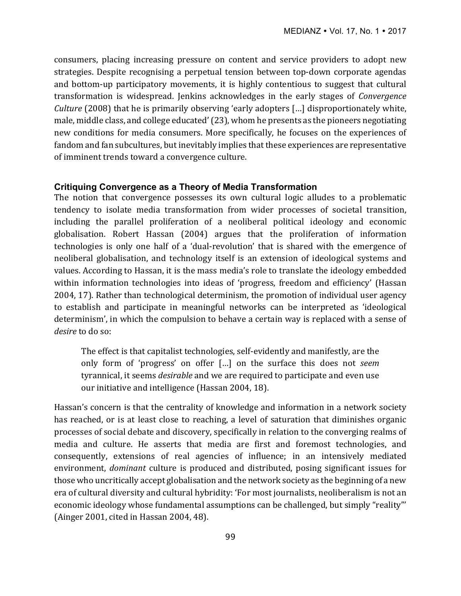consumers, placing increasing pressure on content and service providers to adopt new strategies. Despite recognising a perpetual tension between top-down corporate agendas and bottom-up participatory movements, it is highly contentious to suggest that cultural transformation is widespread. Jenkins acknowledges in the early stages of *Convergence Culture* (2008) that he is primarily observing 'early adopters [...] disproportionately white, male, middle class, and college educated' (23), whom he presents as the pioneers negotiating new conditions for media consumers. More specifically, he focuses on the experiences of fandom and fan subcultures, but inevitably implies that these experiences are representative of imminent trends toward a convergence culture.

## **Critiquing Convergence as a Theory of Media Transformation**

The notion that convergence possesses its own cultural logic alludes to a problematic tendency to isolate media transformation from wider processes of societal transition, including the parallel proliferation of a neoliberal political ideology and economic globalisation. Robert Hassan (2004) argues that the proliferation of information technologies is only one half of a 'dual-revolution' that is shared with the emergence of neoliberal globalisation, and technology itself is an extension of ideological systems and values. According to Hassan, it is the mass media's role to translate the ideology embedded within information technologies into ideas of 'progress, freedom and efficiency' (Hassan 2004, 17). Rather than technological determinism, the promotion of individual user agency to establish and participate in meaningful networks can be interpreted as 'ideological determinism', in which the compulsion to behave a certain way is replaced with a sense of *desire* to do so:

The effect is that capitalist technologies, self-evidently and manifestly, are the only form of 'progress' on offer [...] on the surface this does not *seem* tyrannical, it seems *desirable* and we are required to participate and even use our initiative and intelligence (Hassan 2004, 18).

Hassan's concern is that the centrality of knowledge and information in a network society has reached, or is at least close to reaching, a level of saturation that diminishes organic processes of social debate and discovery, specifically in relation to the converging realms of media and culture. He asserts that media are first and foremost technologies, and consequently, extensions of real agencies of influence; in an intensively mediated environment, *dominant* culture is produced and distributed, posing significant issues for those who uncritically accept globalisation and the network society as the beginning of a new era of cultural diversity and cultural hybridity: 'For most journalists, neoliberalism is not an economic ideology whose fundamental assumptions can be challenged, but simply "reality"' (Ainger 2001, cited in Hassan 2004, 48).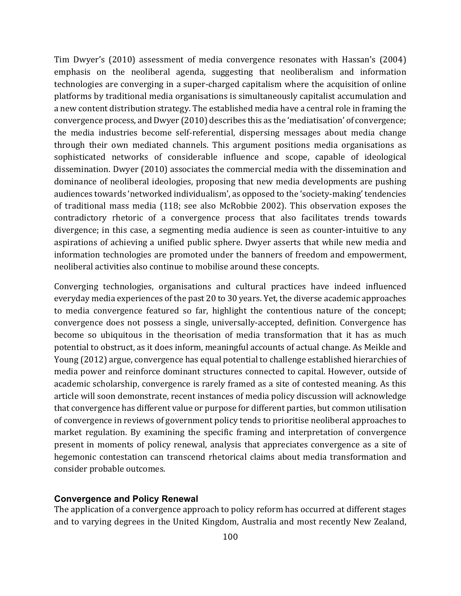Tim Dwyer's (2010) assessment of media convergence resonates with Hassan's (2004) emphasis on the neoliberal agenda, suggesting that neoliberalism and information technologies are converging in a super-charged capitalism where the acquisition of online platforms by traditional media organisations is simultaneously capitalist accumulation and a new content distribution strategy. The established media have a central role in framing the convergence process, and Dwyer (2010) describes this as the 'mediatisation' of convergence; the media industries become self-referential, dispersing messages about media change through their own mediated channels. This argument positions media organisations as sophisticated networks of considerable influence and scope, capable of ideological dissemination. Dwyer (2010) associates the commercial media with the dissemination and dominance of neoliberal ideologies, proposing that new media developments are pushing audiences towards 'networked individualism', as opposed to the 'society-making' tendencies of traditional mass media (118; see also McRobbie 2002). This observation exposes the contradictory rhetoric of a convergence process that also facilitates trends towards divergence; in this case, a segmenting media audience is seen as counter-intuitive to any aspirations of achieving a unified public sphere. Dwyer asserts that while new media and information technologies are promoted under the banners of freedom and empowerment, neoliberal activities also continue to mobilise around these concepts.

Converging technologies, organisations and cultural practices have indeed influenced everyday media experiences of the past 20 to 30 years. Yet, the diverse academic approaches to media convergence featured so far, highlight the contentious nature of the concept; convergence does not possess a single, universally-accepted, definition. Convergence has become so ubiquitous in the theorisation of media transformation that it has as much potential to obstruct, as it does inform, meaningful accounts of actual change. As Meikle and Young (2012) argue, convergence has equal potential to challenge established hierarchies of media power and reinforce dominant structures connected to capital. However, outside of academic scholarship, convergence is rarely framed as a site of contested meaning. As this article will soon demonstrate, recent instances of media policy discussion will acknowledge that convergence has different value or purpose for different parties, but common utilisation of convergence in reviews of government policy tends to prioritise neoliberal approaches to market regulation. By examining the specific framing and interpretation of convergence present in moments of policy renewal, analysis that appreciates convergence as a site of hegemonic contestation can transcend rhetorical claims about media transformation and consider probable outcomes.

## **Convergence and Policy Renewal**

The application of a convergence approach to policy reform has occurred at different stages and to varying degrees in the United Kingdom, Australia and most recently New Zealand,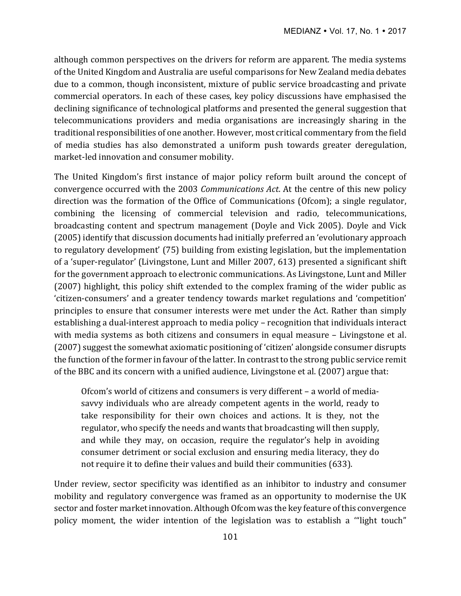although common perspectives on the drivers for reform are apparent. The media systems of the United Kingdom and Australia are useful comparisons for New Zealand media debates due to a common, though inconsistent, mixture of public service broadcasting and private commercial operators. In each of these cases, key policy discussions have emphasised the declining significance of technological platforms and presented the general suggestion that telecommunications providers and media organisations are increasingly sharing in the traditional responsibilities of one another. However, most critical commentary from the field of media studies has also demonstrated a uniform push towards greater deregulation, market-led innovation and consumer mobility.

The United Kingdom's first instance of major policy reform built around the concept of convergence occurred with the 2003 *Communications Act*. At the centre of this new policy direction was the formation of the Office of Communications (Ofcom); a single regulator, combining the licensing of commercial television and radio, telecommunications, broadcasting content and spectrum management (Doyle and Vick 2005). Doyle and Vick (2005) identify that discussion documents had initially preferred an 'evolutionary approach to regulatory development' (75) building from existing legislation, but the implementation of a 'super-regulator' (Livingstone, Lunt and Miller 2007, 613) presented a significant shift for the government approach to electronic communications. As Livingstone, Lunt and Miller (2007) highlight, this policy shift extended to the complex framing of the wider public as 'citizen-consumers' and a greater tendency towards market regulations and 'competition' principles to ensure that consumer interests were met under the Act. Rather than simply establishing a dual-interest approach to media policy – recognition that individuals interact with media systems as both citizens and consumers in equal measure - Livingstone et al. (2007) suggest the somewhat axiomatic positioning of 'citizen' alongside consumer disrupts the function of the former in favour of the latter. In contrast to the strong public service remit of the BBC and its concern with a unified audience, Livingstone et al. (2007) argue that:

Ofcom's world of citizens and consumers is very different – a world of mediasavvy individuals who are already competent agents in the world, ready to take responsibility for their own choices and actions. It is they, not the regulator, who specify the needs and wants that broadcasting will then supply, and while they may, on occasion, require the regulator's help in avoiding consumer detriment or social exclusion and ensuring media literacy, they do not require it to define their values and build their communities (633).

Under review, sector specificity was identified as an inhibitor to industry and consumer mobility and regulatory convergence was framed as an opportunity to modernise the UK sector and foster market innovation. Although Ofcom was the key feature of this convergence policy moment, the wider intention of the legislation was to establish a "light touch"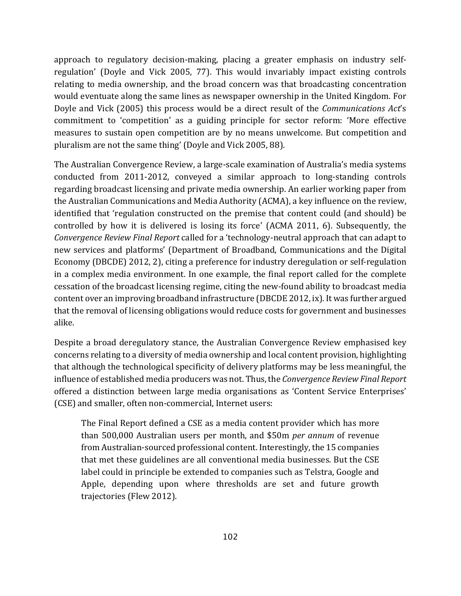approach to regulatory decision-making, placing a greater emphasis on industry selfregulation' (Doyle and Vick 2005, 77). This would invariably impact existing controls relating to media ownership, and the broad concern was that broadcasting concentration would eventuate along the same lines as newspaper ownership in the United Kingdom. For Doyle and Vick (2005) this process would be a direct result of the *Communications Act's* commitment to 'competition' as a guiding principle for sector reform: 'More effective measures to sustain open competition are by no means unwelcome. But competition and pluralism are not the same thing' (Doyle and Vick 2005, 88).

The Australian Convergence Review, a large-scale examination of Australia's media systems conducted from 2011-2012, conveyed a similar approach to long-standing controls regarding broadcast licensing and private media ownership. An earlier working paper from the Australian Communications and Media Authority (ACMA), a key influence on the review, identified that 'regulation constructed on the premise that content could (and should) be controlled by how it is delivered is losing its force' (ACMA 2011, 6). Subsequently, the *Convergence Review Final Report* called for a 'technology-neutral approach that can adapt to new services and platforms' (Department of Broadband, Communications and the Digital Economy (DBCDE) 2012, 2), citing a preference for industry deregulation or self-regulation in a complex media environment. In one example, the final report called for the complete cessation of the broadcast licensing regime, citing the new-found ability to broadcast media content over an improving broadband infrastructure (DBCDE 2012, ix). It was further argued that the removal of licensing obligations would reduce costs for government and businesses alike.

Despite a broad deregulatory stance, the Australian Convergence Review emphasised key concerns relating to a diversity of media ownership and local content provision, highlighting that although the technological specificity of delivery platforms may be less meaningful, the influence of established media producers was not. Thus, the *Convergence Review Final Report* offered a distinction between large media organisations as 'Content Service Enterprises' (CSE) and smaller, often non-commercial, Internet users:

The Final Report defined a CSE as a media content provider which has more than 500,000 Australian users per month, and \$50m *per annum* of revenue from Australian-sourced professional content. Interestingly, the 15 companies that met these guidelines are all conventional media businesses. But the CSE label could in principle be extended to companies such as Telstra, Google and Apple, depending upon where thresholds are set and future growth trajectories (Flew 2012).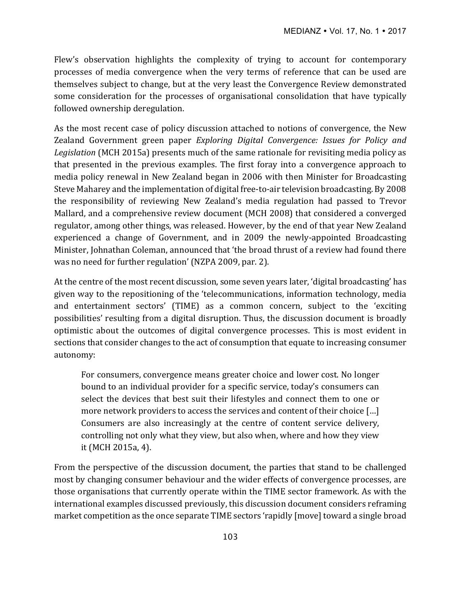Flew's observation highlights the complexity of trying to account for contemporary processes of media convergence when the very terms of reference that can be used are themselves subject to change, but at the very least the Convergence Review demonstrated some consideration for the processes of organisational consolidation that have typically followed ownership deregulation.

As the most recent case of policy discussion attached to notions of convergence, the New Zealand Government green paper *Exploring Digital Convergence: Issues for Policy and* Legislation (MCH 2015a) presents much of the same rationale for revisiting media policy as that presented in the previous examples. The first foray into a convergence approach to media policy renewal in New Zealand began in 2006 with then Minister for Broadcasting Steve Maharey and the implementation of digital free-to-air television broadcasting. By 2008 the responsibility of reviewing New Zealand's media regulation had passed to Trevor Mallard, and a comprehensive review document (MCH 2008) that considered a converged regulator, among other things, was released. However, by the end of that year New Zealand experienced a change of Government, and in 2009 the newly-appointed Broadcasting Minister, Johnathan Coleman, announced that 'the broad thrust of a review had found there was no need for further regulation' (NZPA 2009, par. 2).

At the centre of the most recent discussion, some seven years later, 'digital broadcasting' has given way to the repositioning of the 'telecommunications, information technology, media and entertainment sectors' (TIME) as a common concern, subject to the 'exciting possibilities' resulting from a digital disruption. Thus, the discussion document is broadly optimistic about the outcomes of digital convergence processes. This is most evident in sections that consider changes to the act of consumption that equate to increasing consumer autonomy:

For consumers, convergence means greater choice and lower cost. No longer bound to an individual provider for a specific service, today's consumers can select the devices that best suit their lifestyles and connect them to one or more network providers to access the services and content of their choice  $[\ldots]$ Consumers are also increasingly at the centre of content service delivery, controlling not only what they view, but also when, where and how they view it (MCH 2015a, 4).

From the perspective of the discussion document, the parties that stand to be challenged most by changing consumer behaviour and the wider effects of convergence processes, are those organisations that currently operate within the TIME sector framework. As with the international examples discussed previously, this discussion document considers reframing market competition as the once separate TIME sectors 'rapidly [move] toward a single broad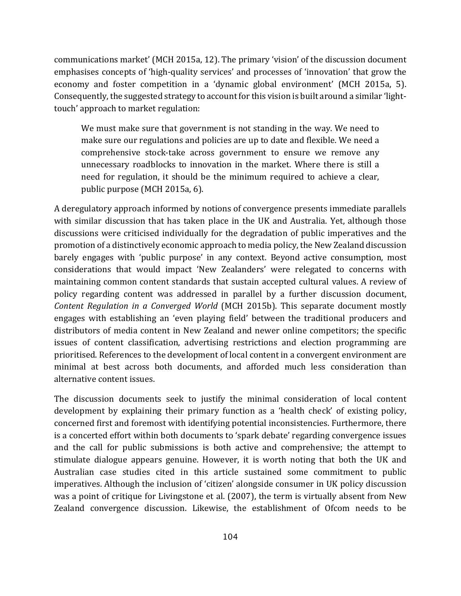communications market' (MCH 2015a, 12). The primary 'vision' of the discussion document emphasises concepts of 'high-quality services' and processes of 'innovation' that grow the economy and foster competition in a 'dynamic global environment' (MCH 2015a, 5). Consequently, the suggested strategy to account for this vision is built around a similar 'lighttouch' approach to market regulation:

We must make sure that government is not standing in the way. We need to make sure our regulations and policies are up to date and flexible. We need a comprehensive stock-take across government to ensure we remove any unnecessary roadblocks to innovation in the market. Where there is still a need for regulation, it should be the minimum required to achieve a clear, public purpose (MCH 2015a, 6).

A deregulatory approach informed by notions of convergence presents immediate parallels with similar discussion that has taken place in the UK and Australia. Yet, although those discussions were criticised individually for the degradation of public imperatives and the promotion of a distinctively economic approach to media policy, the New Zealand discussion barely engages with 'public purpose' in any context. Beyond active consumption, most considerations that would impact 'New Zealanders' were relegated to concerns with maintaining common content standards that sustain accepted cultural values. A review of policy regarding content was addressed in parallel by a further discussion document, *Content Regulation in a Converged World* (MCH 2015b). This separate document mostly engages with establishing an 'even playing field' between the traditional producers and distributors of media content in New Zealand and newer online competitors; the specific issues of content classification, advertising restrictions and election programming are prioritised. References to the development of local content in a convergent environment are minimal at best across both documents, and afforded much less consideration than alternative content issues.

The discussion documents seek to justify the minimal consideration of local content development by explaining their primary function as a 'health check' of existing policy, concerned first and foremost with identifying potential inconsistencies. Furthermore, there is a concerted effort within both documents to 'spark debate' regarding convergence issues and the call for public submissions is both active and comprehensive; the attempt to stimulate dialogue appears genuine. However, it is worth noting that both the UK and Australian case studies cited in this article sustained some commitment to public imperatives. Although the inclusion of 'citizen' alongside consumer in UK policy discussion was a point of critique for Livingstone et al. (2007), the term is virtually absent from New Zealand convergence discussion. Likewise, the establishment of Ofcom needs to be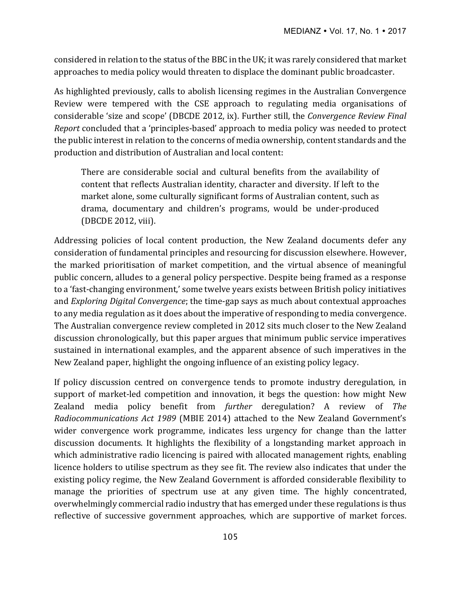considered in relation to the status of the BBC in the UK; it was rarely considered that market approaches to media policy would threaten to displace the dominant public broadcaster.

As highlighted previously, calls to abolish licensing regimes in the Australian Convergence Review were tempered with the CSE approach to regulating media organisations of considerable 'size and scope' (DBCDE 2012, ix). Further still, the *Convergence Review Final Report* concluded that a 'principles-based' approach to media policy was needed to protect the public interest in relation to the concerns of media ownership, content standards and the production and distribution of Australian and local content:

There are considerable social and cultural benefits from the availability of content that reflects Australian identity, character and diversity. If left to the market alone, some culturally significant forms of Australian content, such as drama, documentary and children's programs, would be under-produced (DBCDE 2012, viii).

Addressing policies of local content production, the New Zealand documents defer any consideration of fundamental principles and resourcing for discussion elsewhere. However, the marked prioritisation of market competition, and the virtual absence of meaningful public concern, alludes to a general policy perspective. Despite being framed as a response to a 'fast-changing environment,' some twelve years exists between British policy initiatives and *Exploring Digital Convergence*; the time-gap says as much about contextual approaches to any media regulation as it does about the imperative of responding to media convergence. The Australian convergence review completed in 2012 sits much closer to the New Zealand discussion chronologically, but this paper argues that minimum public service imperatives sustained in international examples, and the apparent absence of such imperatives in the New Zealand paper, highlight the ongoing influence of an existing policy legacy.

If policy discussion centred on convergence tends to promote industry deregulation, in support of market-led competition and innovation, it begs the question: how might New Zealand media policy benefit from *further* deregulation? A review of *The Radiocommunications Act 1989* (MBIE 2014) attached to the New Zealand Government's wider convergence work programme, indicates less urgency for change than the latter discussion documents. It highlights the flexibility of a longstanding market approach in which administrative radio licencing is paired with allocated management rights, enabling licence holders to utilise spectrum as they see fit. The review also indicates that under the existing policy regime, the New Zealand Government is afforded considerable flexibility to manage the priorities of spectrum use at any given time. The highly concentrated, overwhelmingly commercial radio industry that has emerged under these regulations is thus reflective of successive government approaches, which are supportive of market forces.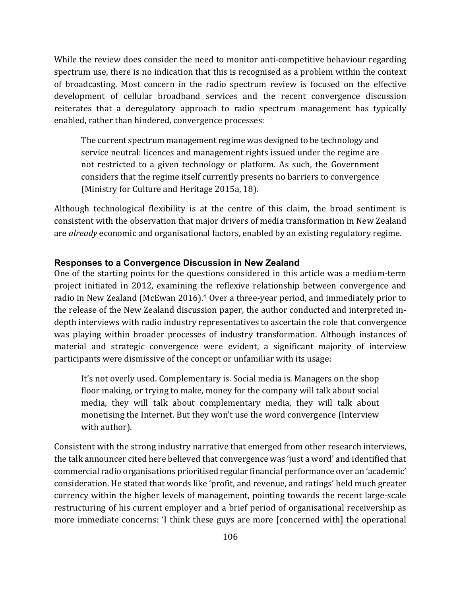While the review does consider the need to monitor anti-competitive behaviour regarding spectrum use, there is no indication that this is recognised as a problem within the context of broadcasting. Most concern in the radio spectrum review is focused on the effective development of cellular broadband services and the recent convergence discussion reiterates that a deregulatory approach to radio spectrum management has typically enabled, rather than hindered, convergence processes:

The current spectrum management regime was designed to be technology and service neutral: licences and management rights issued under the regime are not restricted to a given technology or platform. As such, the Government considers that the regime itself currently presents no barriers to convergence (Ministry for Culture and Heritage 2015a, 18).

Although technological flexibility is at the centre of this claim, the broad sentiment is consistent with the observation that major drivers of media transformation in New Zealand are *already* economic and organisational factors, enabled by an existing regulatory regime.

## **Responses to a Convergence Discussion in New Zealand**

One of the starting points for the questions considered in this article was a medium-term project initiated in 2012, examining the reflexive relationship between convergence and radio in New Zealand (McEwan 2016).<sup>4</sup> Over a three-year period, and immediately prior to the release of the New Zealand discussion paper, the author conducted and interpreted indepth interviews with radio industry representatives to ascertain the role that convergence was playing within broader processes of industry transformation. Although instances of material and strategic convergence were evident, a significant majority of interview participants were dismissive of the concept or unfamiliar with its usage:

It's not overly used. Complementary is. Social media is. Managers on the shop floor making, or trying to make, money for the company will talk about social media, they will talk about complementary media, they will talk about monetising the Internet. But they won't use the word convergence (Interview with author).

Consistent with the strong industry narrative that emerged from other research interviews, the talk announcer cited here believed that convergence was 'just a word' and identified that commercial radio organisations prioritised regular financial performance over an 'academic' consideration. He stated that words like 'profit, and revenue, and ratings' held much greater currency within the higher levels of management, pointing towards the recent large-scale restructuring of his current employer and a brief period of organisational receivership as more immediate concerns: 'I think these guys are more [concerned with] the operational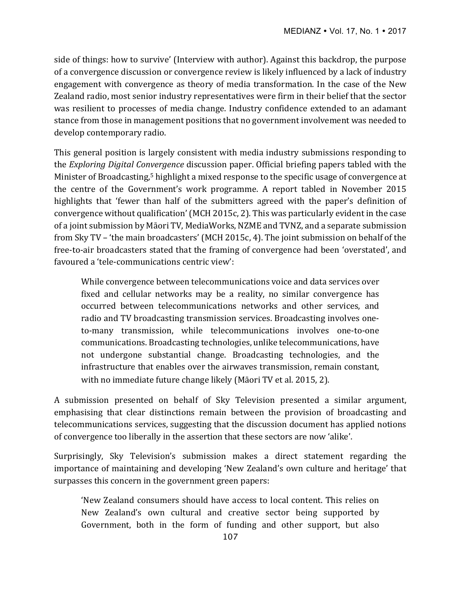side of things: how to survive' (Interview with author). Against this backdrop, the purpose of a convergence discussion or convergence review is likely influenced by a lack of industry engagement with convergence as theory of media transformation. In the case of the New Zealand radio, most senior industry representatives were firm in their belief that the sector was resilient to processes of media change. Industry confidence extended to an adamant stance from those in management positions that no government involvement was needed to develop contemporary radio.

This general position is largely consistent with media industry submissions responding to the *Exploring Digital Convergence* discussion paper. Official briefing papers tabled with the Minister of Broadcasting,<sup>5</sup> highlight a mixed response to the specific usage of convergence at the centre of the Government's work programme. A report tabled in November 2015 highlights that 'fewer than half of the submitters agreed with the paper's definition of convergence without qualification' (MCH 2015c, 2). This was particularly evident in the case of a joint submission by Māori TV, MediaWorks, NZME and TVNZ, and a separate submission from Sky TV – 'the main broadcasters' (MCH 2015c, 4). The joint submission on behalf of the free-to-air broadcasters stated that the framing of convergence had been 'overstated', and favoured a 'tele-communications centric view':

While convergence between telecommunications voice and data services over fixed and cellular networks may be a reality, no similar convergence has occurred between telecommunications networks and other services, and radio and TV broadcasting transmission services. Broadcasting involves oneto-many transmission, while telecommunications involves one-to-one communications. Broadcasting technologies, unlike telecommunications, have not undergone substantial change. Broadcasting technologies, and the infrastructure that enables over the airwaves transmission, remain constant, with no immediate future change likely (Māori TV et al. 2015, 2).

A submission presented on behalf of Sky Television presented a similar argument, emphasising that clear distinctions remain between the provision of broadcasting and telecommunications services, suggesting that the discussion document has applied notions of convergence too liberally in the assertion that these sectors are now 'alike'.

Surprisingly, Sky Television's submission makes a direct statement regarding the importance of maintaining and developing 'New Zealand's own culture and heritage' that surpasses this concern in the government green papers:

'New Zealand consumers should have access to local content. This relies on New Zealand's own cultural and creative sector being supported by Government, both in the form of funding and other support, but also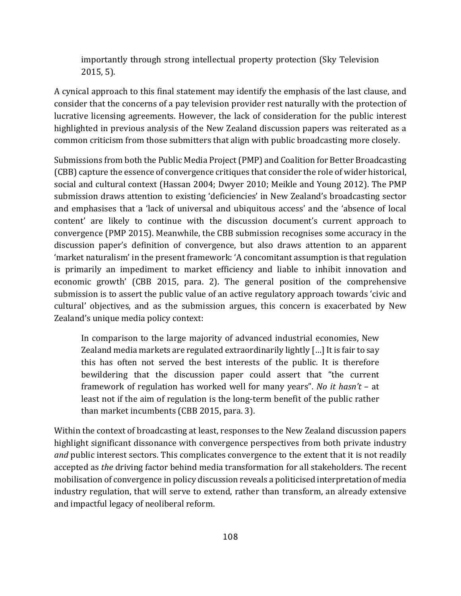importantly through strong intellectual property protection (Sky Television  $2015, 5$ ).

A cynical approach to this final statement may identify the emphasis of the last clause, and consider that the concerns of a pay television provider rest naturally with the protection of lucrative licensing agreements. However, the lack of consideration for the public interest highlighted in previous analysis of the New Zealand discussion papers was reiterated as a common criticism from those submitters that align with public broadcasting more closely.

Submissions from both the Public Media Project (PMP) and Coalition for Better Broadcasting (CBB) capture the essence of convergence critiques that consider the role of wider historical, social and cultural context (Hassan 2004; Dwyer 2010; Meikle and Young 2012). The PMP submission draws attention to existing 'deficiencies' in New Zealand's broadcasting sector and emphasises that a 'lack of universal and ubiquitous access' and the 'absence of local content' are likely to continue with the discussion document's current approach to convergence (PMP 2015). Meanwhile, the CBB submission recognises some accuracy in the discussion paper's definition of convergence, but also draws attention to an apparent 'market naturalism' in the present framework: 'A concomitant assumption is that regulation is primarily an impediment to market efficiency and liable to inhibit innovation and economic growth' (CBB 2015, para. 2). The general position of the comprehensive submission is to assert the public value of an active regulatory approach towards 'civic and cultural' objectives, and as the submission argues, this concern is exacerbated by New Zealand's unique media policy context:

In comparison to the large majority of advanced industrial economies, New Zealand media markets are regulated extraordinarily lightly  $\lceil$ ...] It is fair to say this has often not served the best interests of the public. It is therefore bewildering that the discussion paper could assert that "the current framework of regulation has worked well for many years". *No it hasn't* – at least not if the aim of regulation is the long-term benefit of the public rather than market incumbents (CBB 2015, para. 3).

Within the context of broadcasting at least, responses to the New Zealand discussion papers highlight significant dissonance with convergence perspectives from both private industry and public interest sectors. This complicates convergence to the extent that it is not readily accepted as *the* driving factor behind media transformation for all stakeholders. The recent mobilisation of convergence in policy discussion reveals a politicised interpretation of media industry regulation, that will serve to extend, rather than transform, an already extensive and impactful legacy of neoliberal reform.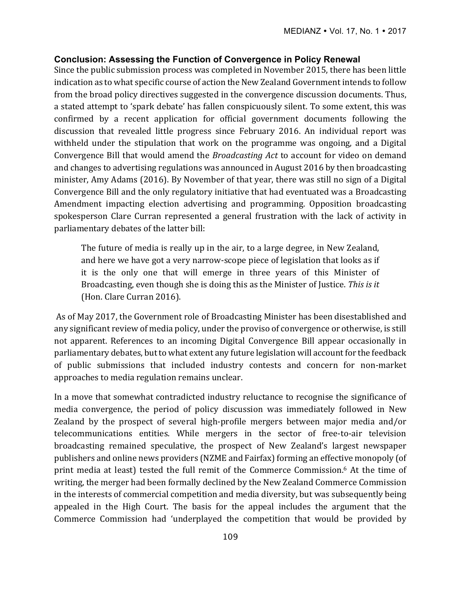## **Conclusion: Assessing the Function of Convergence in Policy Renewal**

Since the public submission process was completed in November 2015, there has been little indication as to what specific course of action the New Zealand Government intends to follow from the broad policy directives suggested in the convergence discussion documents. Thus, a stated attempt to 'spark debate' has fallen conspicuously silent. To some extent, this was confirmed by a recent application for official government documents following the discussion that revealed little progress since February 2016. An individual report was withheld under the stipulation that work on the programme was ongoing, and a Digital Convergence Bill that would amend the *Broadcasting Act* to account for video on demand and changes to advertising regulations was announced in August 2016 by then broadcasting minister, Amy Adams (2016). By November of that year, there was still no sign of a Digital Convergence Bill and the only regulatory initiative that had eventuated was a Broadcasting Amendment impacting election advertising and programming. Opposition broadcasting spokesperson Clare Curran represented a general frustration with the lack of activity in parliamentary debates of the latter bill:

The future of media is really up in the air, to a large degree, in New Zealand, and here we have got a very narrow-scope piece of legislation that looks as if it is the only one that will emerge in three years of this Minister of Broadcasting, even though she is doing this as the Minister of Justice. This is it (Hon. Clare Curran 2016).

As of May 2017, the Government role of Broadcasting Minister has been disestablished and any significant review of media policy, under the proviso of convergence or otherwise, is still not apparent. References to an incoming Digital Convergence Bill appear occasionally in parliamentary debates, but to what extent any future legislation will account for the feedback of public submissions that included industry contests and concern for non-market approaches to media regulation remains unclear.

In a move that somewhat contradicted industry reluctance to recognise the significance of media convergence, the period of policy discussion was immediately followed in New Zealand by the prospect of several high-profile mergers between major media and/or telecommunications entities. While mergers in the sector of free-to-air television broadcasting remained speculative, the prospect of New Zealand's largest newspaper publishers and online news providers (NZME and Fairfax) forming an effective monopoly (of print media at least) tested the full remit of the Commerce Commission.<sup>6</sup> At the time of writing, the merger had been formally declined by the New Zealand Commerce Commission in the interests of commercial competition and media diversity, but was subsequently being appealed in the High Court. The basis for the appeal includes the argument that the Commerce Commission had 'underplayed the competition that would be provided by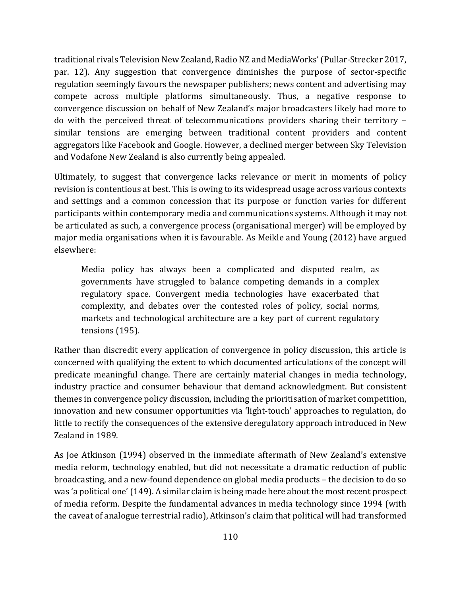traditional rivals Television New Zealand, Radio NZ and MediaWorks' (Pullar-Strecker 2017, par. 12). Any suggestion that convergence diminishes the purpose of sector-specific regulation seemingly favours the newspaper publishers; news content and advertising may compete across multiple platforms simultaneously. Thus, a negative response to convergence discussion on behalf of New Zealand's major broadcasters likely had more to do with the perceived threat of telecommunications providers sharing their territory similar tensions are emerging between traditional content providers and content aggregators like Facebook and Google. However, a declined merger between Sky Television and Vodafone New Zealand is also currently being appealed.

Ultimately, to suggest that convergence lacks relevance or merit in moments of policy revision is contentious at best. This is owing to its widespread usage across various contexts and settings and a common concession that its purpose or function varies for different participants within contemporary media and communications systems. Although it may not be articulated as such, a convergence process (organisational merger) will be employed by major media organisations when it is favourable. As Meikle and Young (2012) have argued elsewhere:

Media policy has always been a complicated and disputed realm, as governments have struggled to balance competing demands in a complex regulatory space. Convergent media technologies have exacerbated that complexity, and debates over the contested roles of policy, social norms, markets and technological architecture are a key part of current regulatory tensions (195). 

Rather than discredit every application of convergence in policy discussion, this article is concerned with qualifying the extent to which documented articulations of the concept will predicate meaningful change. There are certainly material changes in media technology, industry practice and consumer behaviour that demand acknowledgment. But consistent themes in convergence policy discussion, including the prioritisation of market competition, innovation and new consumer opportunities via 'light-touch' approaches to regulation, do little to rectify the consequences of the extensive deregulatory approach introduced in New Zealand in 1989.

As Joe Atkinson (1994) observed in the immediate aftermath of New Zealand's extensive media reform, technology enabled, but did not necessitate a dramatic reduction of public broadcasting, and a new-found dependence on global media products - the decision to do so was 'a political one' (149). A similar claim is being made here about the most recent prospect of media reform. Despite the fundamental advances in media technology since 1994 (with the caveat of analogue terrestrial radio), Atkinson's claim that political will had transformed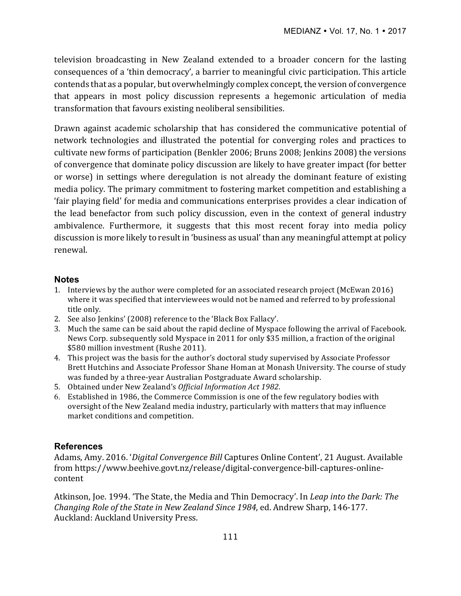television broadcasting in New Zealand extended to a broader concern for the lasting consequences of a 'thin democracy', a barrier to meaningful civic participation. This article contends that as a popular, but overwhelmingly complex concept, the version of convergence that appears in most policy discussion represents a hegemonic articulation of media transformation that favours existing neoliberal sensibilities.

Drawn against academic scholarship that has considered the communicative potential of network technologies and illustrated the potential for converging roles and practices to cultivate new forms of participation (Benkler 2006; Bruns 2008; Jenkins 2008) the versions of convergence that dominate policy discussion are likely to have greater impact (for better or worse) in settings where deregulation is not already the dominant feature of existing media policy. The primary commitment to fostering market competition and establishing a 'fair playing field' for media and communications enterprises provides a clear indication of the lead benefactor from such policy discussion, even in the context of general industry ambivalence. Furthermore, it suggests that this most recent foray into media policy discussion is more likely to result in 'business as usual' than any meaningful attempt at policy renewal.

## **Notes**

- 1. Interviews by the author were completed for an associated research project (McEwan 2016) where it was specified that interviewees would not be named and referred to by professional title only.
- 2. See also Jenkins' (2008) reference to the 'Black Box Fallacy'.
- 3. Much the same can be said about the rapid decline of Myspace following the arrival of Facebook. News Corp. subsequently sold Myspace in 2011 for only \$35 million, a fraction of the original \$580 million investment (Rushe 2011).
- 4. This project was the basis for the author's doctoral study supervised by Associate Professor Brett Hutchins and Associate Professor Shane Homan at Monash University. The course of study was funded by a three-year Australian Postgraduate Award scholarship.
- 5. Obtained under New Zealand's Official Information Act 1982.
- 6. Established in 1986, the Commerce Commission is one of the few regulatory bodies with oversight of the New Zealand media industry, particularly with matters that may influence market conditions and competition.

## **References**

Adams, Amy. 2016. '*Digital Convergence Bill* Captures Online Content', 21 August. Available from https://www.beehive.govt.nz/release/digital-convergence-bill-captures-onlinecontent

Atkinson, Joe. 1994. 'The State, the Media and Thin Democracy'. In *Leap into the Dark: The Changing Role of the State in New Zealand Since 1984, ed. Andrew Sharp, 146-177.* Auckland: Auckland University Press.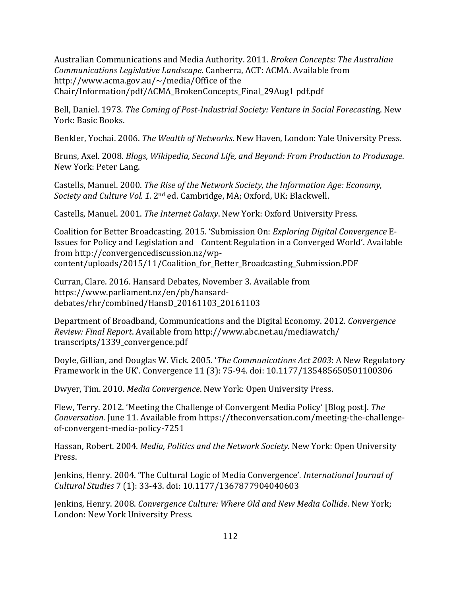Australian Communications and Media Authority. 2011. *Broken Concepts: The Australian Communications Legislative Landscape.* Canberra, ACT: ACMA. Available from http://www.acma.gov.au/ $\sim$ /media/Office of the Chair/Information/pdf/ACMA\_BrokenConcepts\_Final\_29Aug1 pdf.pdf

Bell, Daniel. 1973. The Coming of Post-Industrial Society: Venture in Social Forecasting. New York: Basic Books.

Benkler, Yochai. 2006. The Wealth of Networks. New Haven, London: Yale University Press.

Bruns, Axel. 2008. *Blogs, Wikipedia, Second Life, and Beyond: From Production to Produsage.* New York: Peter Lang.

Castells, Manuel. 2000. *The Rise of the Network Society, the Information Age: Economy, Society and Culture Vol. 1.* 2<sup>nd</sup> ed. Cambridge, MA; Oxford, UK: Blackwell.

Castells, Manuel. 2001. *The Internet Galaxy*. New York: Oxford University Press.

Coalition for Better Broadcasting. 2015. 'Submission On: *Exploring Digital Convergence* E-Issues for Policy and Legislation and Content Regulation in a Converged World'. Available from http://convergencediscussion.nz/wpcontent/uploads/2015/11/Coalition\_for\_Better\_Broadcasting\_Submission.PDF

Curran, Clare. 2016. Hansard Debates, November 3. Available from https://www.parliament.nz/en/pb/hansarddebates/rhr/combined/HansD\_20161103\_20161103

Department of Broadband, Communications and the Digital Economy. 2012*. Convergence Review: Final Report*. Available from http://www.abc.net.au/mediawatch/ transcripts/1339\_convergence.pdf

Doyle, Gillian, and Douglas W. Vick. 2005. '*The Communications Act 2003*: A New Regulatory Framework in the UK'. Convergence 11 (3): 75-94. doi: 10.1177/135485650501100306

Dwyer, Tim. 2010. *Media Convergence*. New York: Open University Press.

Flew, Terry. 2012. 'Meeting the Challenge of Convergent Media Policy' [Blog post]. The *Conversation*. June 11. Available from https://theconversation.com/meeting-the-challengeof-convergent-media-policy-7251

Hassan, Robert. 2004. *Media, Politics and the Network Society*. New York: Open University Press.

Jenkins, Henry. 2004. 'The Cultural Logic of Media Convergence'. International Journal of *Cultural Studies* 7 (1): 33-43. doi: 10.1177/1367877904040603

Jenkins, Henry. 2008. *Convergence Culture: Where Old and New Media Collide*. New York; London: New York University Press.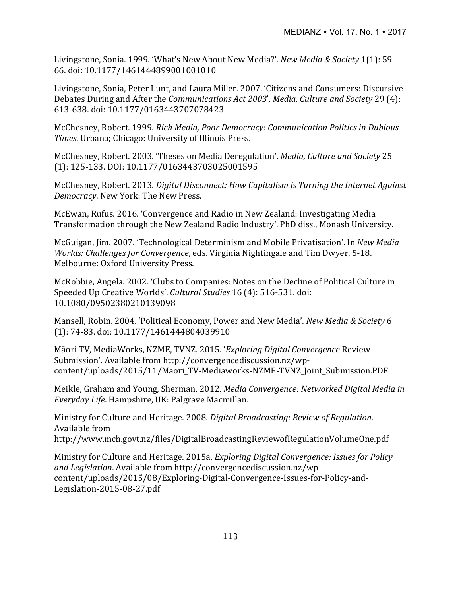Livingstone, Sonia. 1999. 'What's New About New Media?'. *New Media & Society* 1(1): 59-66. doi: 10.1177/1461444899001001010

Livingstone, Sonia, Peter Lunt, and Laura Miller. 2007. 'Citizens and Consumers: Discursive Debates During and After the *Communications Act 2003'*. *Media, Culture and Society* 29 (4): 613-638. doi: 10.1177/0163443707078423 

McChesney, Robert. 1999. *Rich Media, Poor Democracy: Communication Politics in Dubious Times*. Urbana; Chicago: University of Illinois Press.

McChesney, Robert. 2003. 'Theses on Media Deregulation'. *Media, Culture and Society* 25 (1): 125-133. DOI: 10.1177/0163443703025001595

McChesney, Robert. 2013. *Digital Disconnect: How Capitalism is Turning the Internet Against Democracy*. New York: The New Press.

McEwan, Rufus. 2016. 'Convergence and Radio in New Zealand: Investigating Media Transformation through the New Zealand Radio Industry'. PhD diss., Monash University.

McGuigan, Jim. 2007. 'Technological Determinism and Mobile Privatisation'. In *New Media Worlds: Challenges for Convergence*, eds. Virginia Nightingale and Tim Dwyer, 5-18. Melbourne: Oxford University Press.

McRobbie, Angela. 2002. 'Clubs to Companies: Notes on the Decline of Political Culture in Speeded Up Creative Worlds'. *Cultural Studies* 16 (4): 516-531. doi: 10.1080/09502380210139098

Mansell, Robin. 2004. 'Political Economy, Power and New Media'. *New Media & Society* 6 (1): 74-83. doi: 10.1177/1461444804039910

Māori TV, MediaWorks, NZME, TVNZ. 2015. '*Exploring Digital Convergence* Review Submission'. Available from http://convergencediscussion.nz/wpcontent/uploads/2015/11/Maori\_TV-Mediaworks-NZME-TVNZ\_Joint\_Submission.PDF

Meikle, Graham and Young, Sherman. 2012. *Media Convergence: Networked Digital Media in Everyday Life*. Hampshire, UK: Palgrave Macmillan.

Ministry for Culture and Heritage. 2008. *Digital Broadcasting: Review of Regulation*. Available from http://www.mch.govt.nz/files/DigitalBroadcastingReviewofRegulationVolumeOne.pdf

Ministry for Culture and Heritage. 2015a. *Exploring Digital Convergence: Issues for Policy* and Legislation. Available from http://convergencediscussion.nz/wpcontent/uploads/2015/08/Exploring-Digital-Convergence-Issues-for-Policy-and-Legislation-2015-08-27.pdf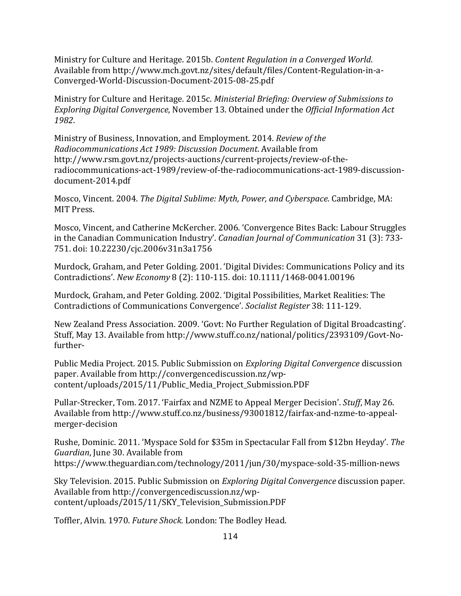Ministry for Culture and Heritage. 2015b. *Content Regulation in a Converged World*. Available from http://www.mch.govt.nz/sites/default/files/Content-Regulation-in-a-Converged-World-Discussion-Document-2015-08-25.pdf

Ministry for Culture and Heritage. 2015c. *Ministerial Briefing: Overview of Submissions to Exploring Digital Convergence, November 13. Obtained under the Official Information Act 1982*. 

Ministry of Business, Innovation, and Employment. 2014. *Review of the Radiocommunications Act 1989: Discussion Document*. Available from http://www.rsm.govt.nz/projects-auctions/current-projects/review-of-theradiocommunications-act-1989/review-of-the-radiocommunications-act-1989-discussiondocument-2014.pdf

Mosco, Vincent. 2004. *The Digital Sublime: Myth, Power, and Cyberspace*. Cambridge, MA: MIT Press.

Mosco, Vincent, and Catherine McKercher. 2006. 'Convergence Bites Back: Labour Struggles in the Canadian Communication Industry'. *Canadian Journal of Communication* 31 (3): 733-751. doi: 10.22230/cjc.2006v31n3a1756

Murdock, Graham, and Peter Golding. 2001. 'Digital Divides: Communications Policy and its Contradictions'. *New Economy* 8 (2): 110-115. doi: 10.1111/1468-0041.00196

Murdock, Graham, and Peter Golding. 2002. 'Digital Possibilities, Market Realities: The Contradictions of Communications Convergence'. *Socialist Register* 38: 111-129.

New Zealand Press Association. 2009. 'Govt: No Further Regulation of Digital Broadcasting'. Stuff, May 13. Available from http://www.stuff.co.nz/national/politics/2393109/Govt-Nofurther-

Public Media Project. 2015. Public Submission on *Exploring Digital Convergence* discussion paper. Available from http://convergencediscussion.nz/wpcontent/uploads/2015/11/Public\_Media\_Project\_Submission.PDF

Pullar-Strecker, Tom. 2017. 'Fairfax and NZME to Appeal Merger Decision'. *Stuff*, May 26. Available from http://www.stuff.co.nz/business/93001812/fairfax-and-nzme-to-appealmerger-decision

Rushe, Dominic. 2011. 'Myspace Sold for \$35m in Spectacular Fall from \$12bn Heyday'. The *Guardian*, June 30. Available from https://www.theguardian.com/technology/2011/jun/30/myspace-sold-35-million-news

Sky Television. 2015. Public Submission on *Exploring Digital Convergence* discussion paper. Available from http://convergencediscussion.nz/wpcontent/uploads/2015/11/SKY\_Television\_Submission.PDF

Toffler, Alvin. 1970. *Future Shock*. London: The Bodley Head.